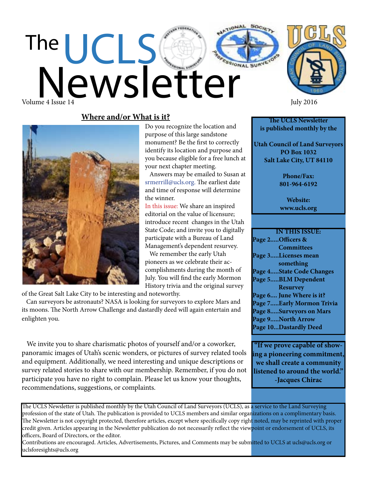# UCLS Newsletter

Do you recognize the location and purpose of this large sandstone monument? Be the first to correctly identify its location and purpose and you because eligible for a free lunch at

 Answers may be emailed to Susan at srmerrill@ucls.org. The earliest date and time of response will determine

In this issue: We share an inspired editorial on the value of licensure; introduce recent changes in the Utah State Code; and invite you to digitally participate with a Bureau of Land Management's dependent resurvey. We remember the early Utah pioneers as we celebrate their accomplishments during the month of July. You will find the early Mormon History trivia and the original survey

your next chapter meeting.

the winner.



Volume 4 Issue 14 July 2016

The

## **Where and/or What is it?**



of the Great Salt Lake City to be interesting and noteworthy.

 Can surveyors be astronauts? NASA is looking for surveyors to explore Mars and its moons. The North Arrow Challenge and dastardly deed will again entertain and enlighten you.

 We invite you to share charismatic photos of yourself and/or a coworker, panoramic images of Utah's scenic wonders, or pictures of survey related tools and equipment. Additionally, we need interesting and unique descriptions or survey related stories to share with our membership. Remember, if you do not participate you have no right to complain. Please let us know your thoughts, recommendations, suggestions, or complaints.

**The UCLS Newsletter is published monthly by the**

**Utah Council of Land Surveyors PO Box 1032 Salt Lake City, UT 84110**

> **Phone/Fax: 801-964-6192**

> **Website: www.ucls.org**

**IN THIS ISSUE: Page 2.....Officers & Committees Page 3.....Licenses mean something Page 4.....State Code Changes Page 5.....BLM Dependent Resurvey Page 6.... June Where is it? Page 7.....Early Mormon Trivia Page 8.....Surveyors on Mars Page 9.....North Arrow Page 10...Dastardly Deed**

**"If we prove capable of showing a pioneering commitment, we shall create a community listened to around the world." -Jacques Chirac**

The UCLS Newsletter is published monthly by the Utah Council of Land Surveyors (UCLS), as a service to the Land Surveying profession of the state of Utah. The publication is provided to UCLS members and similar organizations on a complimentary basis. The Newsletter is not copyright protected, therefore articles, except where specifically copy right noted, may be reprinted with proper credit given. Articles appearing in the Newsletter publication do not necessarily reflect the viewpoint or endorsement of UCLS, its officers, Board of Directors, or the editor.

Contributions are encouraged. Articles, Advertisements, Pictures, and Comments may be submitted to UCLS at ucls@ucls.org or uclsforesights@ucls.org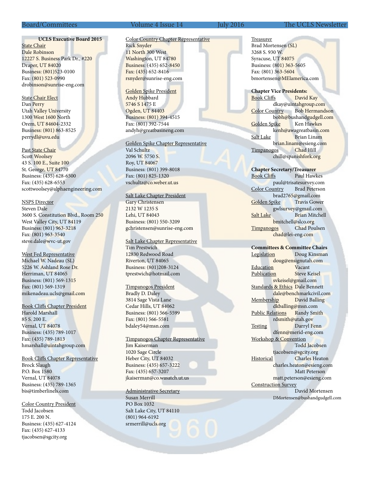#### **UCLS Executive Board 2015**

**State Chair** Dale Robinson 12227 S. Business Park Dr., #220 Draper, UT 84020 Business: (801)523-0100 Fax: (801) 523-0990 drobinson@sunrise-eng.com

State Chair Elect Dan Perry Utah Valley University 1300 West 1600 North Orem, UT 84604-2332 Business: (801) 863-8525 perrydl@uvu.edu

Past State Chair Scott Woolsey 43 S. 100 E., Suite 100 St. George, UT 84770 Business: (435) 628-6500 Fax: (435) 628-6553 scottwoolsey@alphaengineering.com

#### NSPS Director

Steven Dale 3600 S. Constitution Blvd., Room 250 West Valley City, UT 84119 Business: (801) 963-3218 Fax: (801) 963-3540 steve.dale@wvc-ut.gov

West Fed Representative Michael W. Nadeau (SL) 5226 W. Ashland Rose Dr. Herriman, UT 84065 Business: (801) 569-1315 Fax: (801) 569-1319 mikenadeau.ucls@gmail.com

Book Cliffs Chapter President

Harold Marshall 85 S. 200 E. Vernal, UT 84078 Business: (435) 789-1017 Fax: (435) 789-1813 hmarshall@uintahgroup.com

Book Cliffs Chapter Representative Brock Slaugh P.O. Box 1580 Vernal, UT 84078 Business: (435) 789-1365 bis@timberlinels.com

Color Country President Todd Jacobsen 175 E. 200 N. Business: (435) 627-4124

Fax: (435) 627-4133 tjacobsen@sgcity.org

Rick Snyder 11 North 300 West Washington, UT 84780 Business: (435) 652-8450 Fax: (435) 652-8416 rsnyder@sunrise-eng.com

> Golden Spike President Andy Hubbard 5746 S 1475 E Ogden, UT 84403 Business: (801) 394-4515 Fax: (801) 392-7544 andyh@greatbasineng.com

#### Golden Spike Chapter Representative

Color Country Chapter Representative

Val Schultz 2096 W. 5750 S. Roy, UT 84067 Business: (801) 399-8018 Fax: (801) 825-1320 vschultz@co.weber.ut.us

#### Salt Lake Chapter President

Gary Christensen 2132 W 1235 S Lehi, UT 84043 Business: (801) 550-3209 gchristensen@sunrise-eng.com

Salt Lake Chapter Representative Tim Prestwich 12830 Redwood Road Riverton, UT 84065 Business: (801)208-3124 tprestwich@hotmail.com

#### Timpanogos President

Bradly D. Daley 3814 Sage Vista Lane Cedar Hills, UT 84062 Business: (801) 566-5599 Fax: (801) 566-5581 bdaley54@msn.com

#### Timpanogos Chapter Representative Jim Kaiserman

1020 Sage Circle Heber City, UT 84032 Business: (435) 657-3222 Fax: (435) 657-3207 jkaiserman@co.wasatch.ut.us

### Administrative Secretary

Susan Merrill PO Box 1032 Salt Lake City, UT 84110 (801) 964-6192 srmerrill@ucls.org

#### Board/Committees Volume 4 Issue 14 July 2016 The UCLS Newsletter

Treasurer Brad Mortensen (SL) 3268 S. 930 W. Syracuse, UT 84075 Business: (801) 363-5605 Fax: (801) 363-5604 bmortensen@MElamerica.com

**Chapter Vice Presidents:** Book Cliffs David Kay dkay@uintahgroup.com Color Country Bob Hermandson bobh@bushandgudgell.com Golden Spike Ken Hawkes kenh@awagreatbasin.com Salt Lake Brian Linam brian.linam@esieng.com Timpanogos Chad Hill chill@spanishfork.org

**Chapter Secretary/Treasurer** Book Cliffs Paul Hawkes paul@trisatesurvey.com Color Country Brad Peterson brad2765@gmail.com<br>
bike Travis Gower Golden Spike gwlsurvey@gmail.com Salt Lake Brian Mitchell bmitchell@slco.org Timpanogos Chad Poulsen chad@lei-eng.com

#### **Committees & Committee Chairs**

Legislation Doug Kinsman doug@ensignutah.com Education Vacant Publication Steve Keisel svkeisel@gmail.com Standards & Ethics Dale Bennett dale@benchmarkcivil.com Membership David Balling dkballing@msn.com Public Relations Randy Smith rdsmith@utah.gov Testing Darryl Fenn dfenn@merid-eng.com Workshop & Convention Todd Jacobsen tjacobsen@sgcity.org Historical Charles Heaton charles.heaton@esieng.com Matt Peterson matt.peterson@esieng.com Construction Survey David Mortensen DMortensen@bushandgudgell.com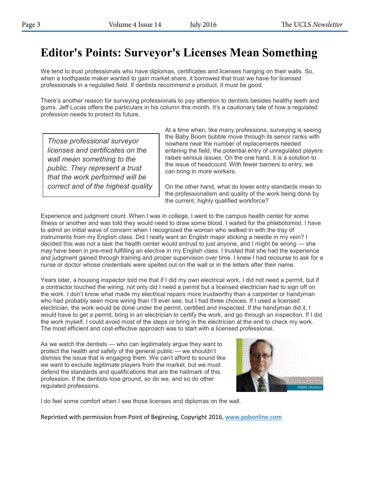# **Editor's Points: Surveyor's Licenses Mean Something**

We tend to trust professionals who have diplomas, certificates and licenses hanging on their walls. So, when a toothpaste maker wanted to gain market share, it borrowed that trust we have for licensed professionals in a regulated field. If dentists recommend a product, it must be good.

There's another reason for surveying professionals to pay attention to dentists besides healthy teeth and gums. Jeff Lucas offers the particulars in his column this month. It's a cautionary tale of how a regulated profession needs to protect its future.

*Those professional surveyor licenses and certificates on the wall mean something to the public. They represent a trust that the work performed will be correct and of the highest quality* At a time when, like many professions, surveying is seeing the Baby Boom bubble move through its senior ranks with nowhere near the number of replacements needed entering the field, the potential entry of unregulated players raises serious issues. On the one hand, it is a solution to the issue of headcount. With fewer barriers to entry, we can bring in more workers.

On the other hand, what do lower entry standards mean to the professionalism and quality of the work being done by the current, highly qualified workforce?

Experience and judgment count. When I was in college, I went to the campus health center for some illness or another and was told they would need to draw some blood. I waited for the phlebotomist. I have to admit an initial wave of concern when I recognized the woman who walked in with the tray of instruments from my English class. Did I really want an English major sticking a needle in my vein? I decided this was not a task the health center would entrust to just anyone, and I might be wrong — she may have been in pre-med fulfilling an elective in my English class. I trusted that she had the experience and judgment gained through training and proper supervision over time. I knew I had recourse to ask for a nurse or doctor whose credentials were spelled out on the wall or in the letters after their name.

Years later, a housing inspector told me that if I did my own electrical work, I did not need a permit, but if a contractor touched the wiring, not only did I need a permit but a licensed electrician had to sign off on the work. I don't know what made my electrical repairs more trustworthy than a carpenter or handyman who had probably seen more wiring than I'll ever see, but I had three choices. If I used a licensed electrician, the work would be done under the permit, certified and inspected. If the handyman did it, I would have to get a permit, bring in an electrician to certify the work, and go through an inspection. If I did the work myself, I could avoid most of the steps or bring in the electrician at the end to check my work. The most efficient and cost-effective approach was to start with a licensed professional.

As we watch the dentists — who can legitimately argue they want to protect the health and safety of the general public — we shouldn't dismiss the issue that is engaging them. We can't afford to sound like we want to exclude legitimate players from the market, but we must defend the standards and qualifications that are the hallmark of this profession. If the dentists lose ground, so do we, and so do other regulated professions.



I do feel some comfort when I see those licenses and diplomas on the wall.

Reprinted with permission from Point of Beginning, Copyright 2016, www.pobonline.com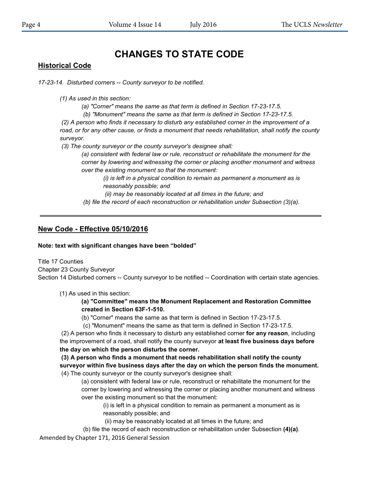## **CHANGES TO STATE CODE**

## **Historical Code**

*17-23-14. Disturbed corners -- County surveyor to be notified.* 

*(1) As used in this section:* 

*(a) "Corner" means the same as that term is defined in Section 17-23-17.5.* 

*(b) "Monument" means the same as that term is defined in Section 17-23-17.5.* 

*(2) A person who finds it necessary to disturb any established corner in the improvement of a road, or for any other cause, or finds a monument that needs rehabilitation, shall notify the county surveyor.* 

*(3) The county surveyor or the county surveyor's designee shall:* 

*(a) consistent with federal law or rule, reconstruct or rehabilitate the monument for the corner by lowering and witnessing the corner or placing another monument and witness over the existing monument so that the monument:* 

*(i) is left in a physical condition to remain as permanent a monument as is reasonably possible; and* 

*(ii) may be reasonably located at all times in the future; and* 

*(b) file the record of each reconstruction or rehabilitation under Subsection (3)(a).* 

## **New Code - Effective 05/10/2016**

**Note: text with significant changes have been "bolded"**

Title 17 Counties Chapter 23 County Surveyor Section 14 Disturbed corners -- County surveyor to be notified -- Coordination with certain state agencies.

(1) As used in this section:

**(a) "Committee" means the Monument Replacement and Restoration Committee created in Section 63F-1-510.** 

(b) "Corner" means the same as that term is defined in Section 17-23-17.5.

(c) "Monument" means the same as that term is defined in Section 17-23-17.5.

(2) A person who finds it necessary to disturb any established corner **for any reason**, including the improvement of a road, shall notify the county surveyor **at least five business days before the day on which the person disturbs the corner.** 

**(3) A person who finds a monument that needs rehabilitation shall notify the county surveyor within five business days after the day on which the person finds the monument.**  (4) The county surveyor or the county surveyor's designee shall:

(a) consistent with federal law or rule, reconstruct or rehabilitate the monument for the corner by lowering and witnessing the corner or placing another monument and witness over the existing monument so that the monument:

(i) is left in a physical condition to remain as permanent a monument as is reasonably possible; and

(ii) may be reasonably located at all times in the future; and

(b) file the record of each reconstruction or rehabilitation under Subsection **(4)(a)**.

Amended by Chapter 171, 2016 General Session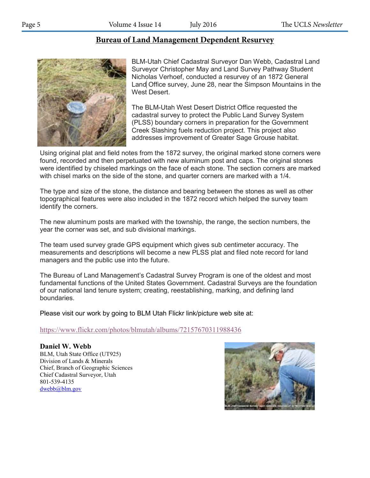## **Bureau of Land Management Dependent Resurve**y **Bureau of Land Management Dependent Resurvey**



BLM-Utah Chief Cadastral Surveyor Dan Webb, Cadastral Land Surveyor Christopher May and Land Survey Pathway Student Nicholas Verhoef, conducted a resurvey of an 1872 General Land Office survey, June 28, near the Simpson Mountains in the West Desert.

The BLM-Utah West Desert District Office requested the cadastral survey to protect the Public Land Survey System (PLSS) boundary corners in preparation for the Government Creek Slashing fuels reduction project. This project also addresses improvement of Greater Sage Grouse habitat.

Using original plat and field notes from the 1872 survey, the original marked stone corners were found, recorded and then perpetuated with new aluminum post and caps. The original stones were identified by chiseled markings on the face of each stone. The section corners are marked with chisel marks on the side of the stone, and quarter corners are marked with a 1/4.

The type and size of the stone, the distance and bearing between the stones as well as other topographical features were also included in the 1872 record which helped the survey team identify the corners.

The new aluminum posts are marked with the township, the range, the section numbers, the year the corner was set, and sub divisional markings.

The team used survey grade GPS equipment which gives sub centimeter accuracy. The measurements and descriptions will become a new PLSS plat and filed note record for land managers and the public use into the future.

The Bureau of Land Management's Cadastral Survey Program is one of the oldest and most fundamental functions of the United States Government. Cadastral Surveys are the foundation of our national land tenure system; creating, reestablishing, marking, and defining land boundaries.

Please visit our work by going to BLM Utah Flickr link/picture web site at:

https://www.flickr.com/photos/blmutah/albums/72157670311988436

## **Daniel W. Webb**

BLM, Utah State Office (UT925) Division of Lands & Minerals Chief, Branch of Geographic Sciences Chief Cadastral Surveyor, Utah 801-539-4135 dwebb@blm.gov

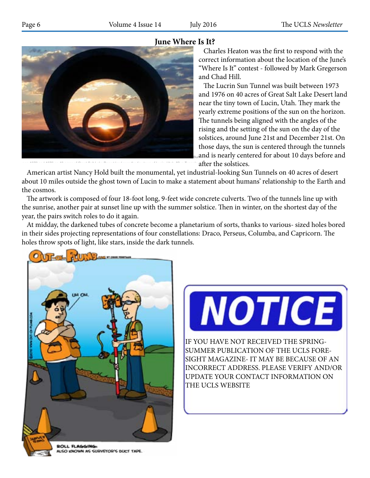## **June Where Is It?**



between 1973 and 1976 on 40 acres of Great Salt Lake Desert land near the tiny town of Lucin, Utah, "Sun Tunnels

 Charles Heaton was the first to respond with the correct information about the location of the June's "Where Is It" contest - followed by Mark Gregerson and Chad Hill.

 The Lucrin Sun Tunnel was built between 1973 and 1976 on 40 acres of Great Salt Lake Desert land near the tiny town of Lucin, Utah. They mark the yearly extreme positions of the sun on the horizon. The tunnels being aligned with the angles of the rising and the setting of the sun on the day of the solstices, around June 21st and December 21st. On those days, the sun is centered through the tunnels  $_{\tiny\textsf{Bu}}$ and is nearly centered for about 10 days before and

after the solstices.

American artist Nancy Hold built the monumental, yet industrial-looking Sun Tunnels on 40 acres of desert about 10 miles outside the ghost town of Lucin to make a statement about humans' relationship to the Earth and the cosmos. and resetting the rising and the sun of the sun of the solid and  $\alpha$ 

The artwork is composed of four 18-foot long, 9-feet wide concrete culverts. Two of the tunnels line up with the sunrise, another pair at sunset line up with the summer solstice. Then in winter, on the shortest day of the year, the pairs switch roles to do it again. miles outside the ghost town of Lucin to make a statement about humans' relationship to the Earth and the cosmos.

At midday, the darkened tubes of concrete become a planetarium of sorts, thanks to various- sized holes bored in their sides projecting representations of four constellations: Draco, Perseus, Columba, and Capricorn. The holes throw spots of light, like stars, inside the dark tunnels. their sides projecting representations of four constellations: Draco, Perseus, Columba and Capricorn. The holes





IF YOU HAVE NOT RECEIVED THE SPRING-SUMMER PUBLICATION OF THE UCLS FORE-SIGHT MAGAZINE- IT MAY BE BECAUSE OF AN INCORRECT ADDRESS. PLEASE VERIFY AND/OR UPDATE YOUR CONTACT INFORMATION ON THE UCLS WEBSITE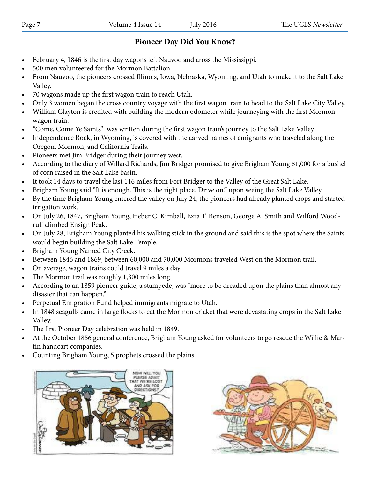## **Pioneer Day Did You Know?**

- February 4, 1846 is the first day wagons left Nauvoo and cross the Mississippi.
- 500 men volunteered for the Mormon Battalion.
- From Nauvoo, the pioneers crossed Illinois, Iowa, Nebraska, Wyoming, and Utah to make it to the Salt Lake Valley.
- 70 wagons made up the first wagon train to reach Utah.
- Only 3 women began the cross country voyage with the first wagon train to head to the Salt Lake City Valley.
- William Clayton is credited with building the modern odometer while journeying with the first Mormon wagon train.
- "Come, Come Ye Saints" was written during the first wagon train's journey to the Salt Lake Valley.
- Independence Rock, in Wyoming, is covered with the carved names of emigrants who traveled along the Oregon, Mormon, and California Trails.
- Pioneers met Jim Bridger during their journey west.
- According to the diary of Willard Richards, Jim Bridger promised to give Brigham Young \$1,000 for a bushel of corn raised in the Salt Lake basin.
- It took 14 days to travel the last 116 miles from Fort Bridger to the Valley of the Great Salt Lake.
- Brigham Young said "It is enough. This is the right place. Drive on." upon seeing the Salt Lake Valley.
- By the time Brigham Young entered the valley on July 24, the pioneers had already planted crops and started irrigation work.
- On July 26, 1847, Brigham Young, Heber C. Kimball, Ezra T. Benson, George A. Smith and Wilford Woodruff climbed Ensign Peak.
- On July 28, Brigham Young planted his walking stick in the ground and said this is the spot where the Saints would begin building the Salt Lake Temple.
- Brigham Young Named City Creek.
- Between 1846 and 1869, between 60,000 and 70,000 Mormons traveled West on the Mormon trail.
- On average, wagon trains could travel 9 miles a day.
- The Mormon trail was roughly 1,300 miles long.
- According to an 1859 pioneer guide, a stampede, was "more to be dreaded upon the plains than almost any disaster that can happen."
- Perpetual Emigration Fund helped immigrants migrate to Utah.
- In 1848 seagulls came in large flocks to eat the Mormon cricket that were devastating crops in the Salt Lake Valley.
- The first Pioneer Day celebration was held in 1849.
- At the October 1856 general conference, Brigham Young asked for volunteers to go rescue the Willie & Martin handcart companies.
- Counting Brigham Young, 5 prophets crossed the plains.



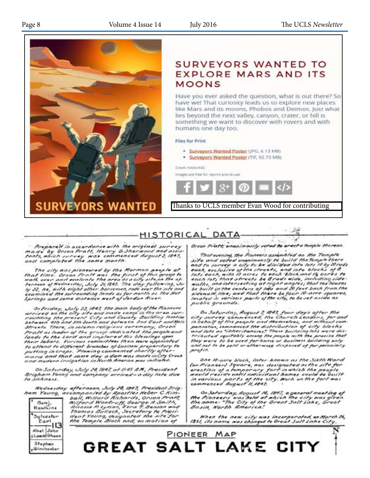

## **SURVEYORS WANTED TO EXPLORE MARS AND ITS MOONS**

Have you ever asked the question, what is out there? So have wel That curiosity leads us to explore new places like Mars and its moons, Phobos and Deimos. Just what lies beyond the next valley, canyon, crater, or hill is something we want to discover with rovers and with humans one day too.

#### Files for Print

- · Surveyors Wanted Poster (JPG, 6.13 MB)
- · Surveyors Wanted Poster (TIF, 92.73 MB)

#### Owen NASANSC

Images are free for reprint and re-use



Thanks to UCLS member Evan Wood for contributing

## HISTORICAL DATA

Prepared in accordance with the original survey made by Orson Pratt, Henry G.Sherwood and assistant and the service of the same commenced August 2, 1847,<br>conts, which survey was commenced August 2, 1847,

The city was pioneered by the Marmon people at<br>that time, Orson Pratt was the first of this group to<br>walk over and evaluate the area as a city site, on the at-<br>termon of Wednesday, July 21,1897. The day following, Ju-<br>ly 2

On Friday, July 23, 1847, the main body of the Pioncers<br>arrived on the city site and made camp in the area sur-<br>rounding the present City and County Building Heating<br>between 4th and 5th South and between 2nd East and Main Streets. There, in solemn religious ceremony, Orson Streets. There, in solemn religious ceremony, Orson<br>Pratt as leader of the group dedicated the people and<br>lands to the Lord and implared this blessings uppointed<br>their labors. Various committees then were appointed<br>to atte

On Saturday, July 24, 1847, at 11:45 A.M., President Brigham Young and company arrived - a day late due to sickness.

Wednesday afternoon, July 28, 1847, President Brig-



mediatory are companied by Appointment of the February<br>
the band mediatory of the Secretary to Praith<br>
Hawkins<br>
Hawkins<br>
Thomas Bullock, Secretary to President<br>
Sulvestor<br>
Thomas Bullock, Secretary to President<br>
The Temple

Orson Pratt, unanimously voted to erect a temple thereon.

18

That evening, the Pioneers assembled on the Temple That evening, the Pioneers assembled on the Temple<br>site and voted unanimously to build the Temple there<br>and to survey a city to be divided into lots 10 by 20 rods<br>each, exclusive of the streets, and into binch are 5 to<br>lot public grounds.

On Saturday, August 7, 1847, four days after the<br>city survey commenced, the Church Leaders, for and<br>in behalf of the people and themselves, and mithout com pensation, commenced the distribution of city blocks and lots as "inheritancies" These building lots were distributed equitably anima the people with the praxise that they were to be used for home or business building only and not to be sold or otherwise disposed of for pecuniary profin

One 10-acre block, later known as the Sixth Ward (or Pioneer) Square, was designated as the site for erection of a temporary fort in which the people<br>would reside until individual homes could be built in various parts of the city. Work on the fort was<br>commenced August H, 1897.

On Saturday, August 14, 1847, a general meeting of<br>the Pioneers was held at which the city was given<br>the nome: "The City of the Great Salt Lake, Great<br>Basin, North America:

When the new city was incorporated, an March 26,<br>IBSI, its name was changed to Great Salt Lake City,

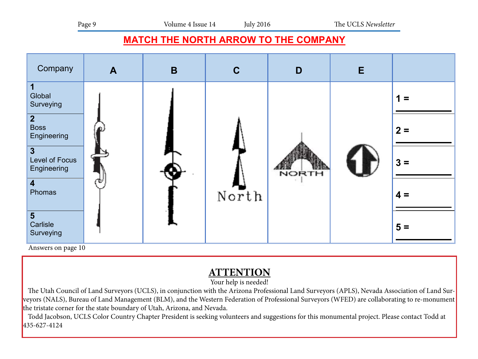## **MATCH THE NORTH ARROW TO THE COMPANY**



Answers on page 10

## **ATTENTION**

Your help is needed!

 The Utah Council of Land Surveyors (UCLS), in conjunction with the Arizona Professional Land Surveyors (APLS), Nevada Association of Land Surveyors (NALS), Bureau of Land Management (BLM), and the Western Federation of Professional Surveyors (WFED) are collaborating to re-monument the tristate corner for the state boundary of Utah, Arizona, and Nevada.

 Todd Jacobson, UCLS Color Country Chapter President is seeking volunteers and suggestions for this monumental project. Please contact Todd at 435-627-4124